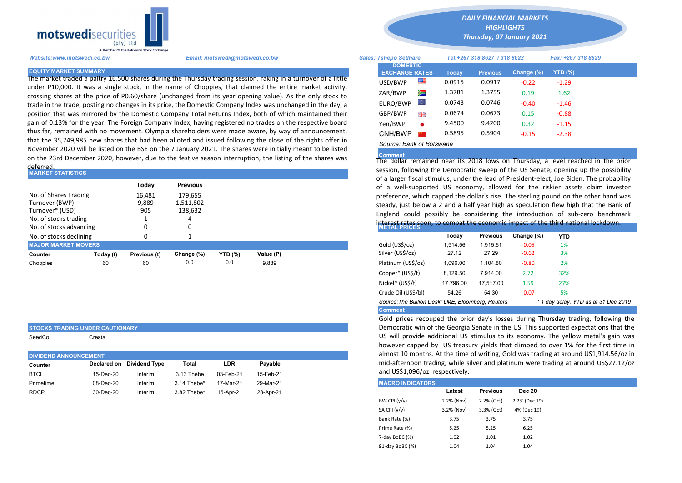

under P10,000. It was a single stock, in the name of Choppies, that claimed the entire market activity, crossing shares at the price of P0.60/share (unchanged from its year opening value). As the only stock to trade in the trade, posting no changes in its price, the Domestic Company Index was unchanged in the day, a position that was mirrored by the Domestic Company Total Returns Index, both of which maintained their gain of 0.13% for the year. The Foreign Company Index, having registered no trades on the respective board thus far, remained with no movement. Olympia shareholders were made aware, by way of announcement, that the 35,749,985 new shares that had been alloted and issued following the close of the rights offer in November 2020 will be listed on the BSE on the 7 January 2021. The shares were initially meant to be listed on the 23rd December 2020, however, due to the festive season interruption, the listing of the shares was deferred.

| <b>MARKET STATISTICS</b>                                                                                       |           |                                 |                                                    |                |           |  | session, following the Democratic sweep of the US Senate, opening u<br>of a larger fiscal stimulus, under the lead of President-elect, Joe Biden.                                                                                                                                                                                                                                     |          |                 |            |            |  |  |  |
|----------------------------------------------------------------------------------------------------------------|-----------|---------------------------------|----------------------------------------------------|----------------|-----------|--|---------------------------------------------------------------------------------------------------------------------------------------------------------------------------------------------------------------------------------------------------------------------------------------------------------------------------------------------------------------------------------------|----------|-----------------|------------|------------|--|--|--|
| No. of Shares Trading<br>Turnover (BWP)<br>Turnover* (USD)<br>No. of stocks trading<br>No. of stocks advancing |           | Todav<br>16.481<br>9,889<br>905 | <b>Previous</b><br>179.655<br>1,511,802<br>138,632 |                |           |  | of a well-supported US economy, allowed for the riskier assets<br>preference, which capped the dollar's rise. The sterling pound on the<br>steady, just below a 2 and a half year high as speculation flew high t<br>England could possibly be considering the introduction of sub-z<br>interest rates soon, to combat the economic impact of the third nation<br><b>METAL PRICES</b> |          |                 |            |            |  |  |  |
| No. of stocks declining                                                                                        |           |                                 |                                                    |                |           |  |                                                                                                                                                                                                                                                                                                                                                                                       | Today    | <b>Previous</b> | Change (%) | <b>YTD</b> |  |  |  |
| <b>MAJOR MARKET MOVERS</b>                                                                                     |           |                                 |                                                    |                |           |  | Gold (US\$/oz)                                                                                                                                                                                                                                                                                                                                                                        | 1.914.56 | 1.915.61        | $-0.05$    | 1%         |  |  |  |
| Counter                                                                                                        | Today (t) | Previous (t)                    | Change (%)                                         | <b>YTD (%)</b> | Value (P) |  | Silver (US\$/oz)                                                                                                                                                                                                                                                                                                                                                                      | 27.12    | 27.29           | $-0.62$    | 3%         |  |  |  |
| Choppies                                                                                                       | 60        | 60                              | 0.0                                                | 0.0            | 9,889     |  | Platinum (US\$/oz)                                                                                                                                                                                                                                                                                                                                                                    | 1,096.00 | 1.104.80        | $-0.80$    | 2%         |  |  |  |
|                                                                                                                |           |                                 |                                                    |                |           |  | .                                                                                                                                                                                                                                                                                                                                                                                     |          |                 |            |            |  |  |  |

|  | STOCKS TRADING UNDER CAUTIONARY |
|--|---------------------------------|
|  |                                 |

SeedCo Cresta

| <b>DIVIDEND ANNOUNCEMENT</b> |           |                           |             |           |           |  | almost 10 months. At the time of writing, Gold was tr                                  |        |                 |  |  |
|------------------------------|-----------|---------------------------|-------------|-----------|-----------|--|----------------------------------------------------------------------------------------|--------|-----------------|--|--|
| Counter                      |           | Declared on Dividend Type | Total       | LDR       | Pavable   |  | mid-afternoon trading, while silver and platinum wer<br>and US\$1,096/oz respectively. |        |                 |  |  |
| <b>BTCL</b>                  | 15-Dec-20 | Interim                   | 3.13 Thebe  | 03-Feb-21 | 15-Feb-21 |  |                                                                                        |        |                 |  |  |
| Primetime                    | 08-Dec-20 | Interim                   | 3.14 Thebe* | 17-Mar-21 | 29-Mar-21 |  | <b>MACRO INDICATORS</b>                                                                |        |                 |  |  |
| <b>RDCP</b>                  | 30-Dec-20 | Interim                   | 3.82 Thebe* | 16-Apr-21 | 28-Apr-21 |  |                                                                                        | Latest | <b>Previous</b> |  |  |
|                              |           |                           |             |           |           |  | _ _ _                                                                                  | .      | -------         |  |  |

*DAILY FINANCIAL MARKETS*

*HIGHLIGHTS Thursday, 07 January 2021* 

| A Member Of the Borswand Stock Exchange |                                                                                                                |                                          |           |                              |                 |            |                    |  |
|-----------------------------------------|----------------------------------------------------------------------------------------------------------------|------------------------------------------|-----------|------------------------------|-----------------|------------|--------------------|--|
| Website:www.motswedi.co.bw              | Email: motswedi@motswedi.co.bw                                                                                 | <b>Sales: Tshepo Setlhare</b>            |           | Tel:+267 318 8627 / 318 8622 |                 |            | Fax: +267 318 8629 |  |
| <b>EQUITY MARKET SUMMARY</b>            | The market traded a paltry 16,500 shares during the Thursday trading session, raking in a turnover of a little | <b>DOMESTIC</b><br><b>EXCHANGE RATES</b> |           | <b>Today</b>                 | <b>Previous</b> | Change (%) | <b>YTD (%)</b>     |  |
|                                         | under P10,000. It was a single stock, in the name of Choppies, that claimed the entire market activity,        | USD/BWP                                  | 一         | 0.0915                       | 0.0917          | $-0.22$    | $-1.29$            |  |
|                                         | crossing shares at the price of P0.60/share (unchanged from its year opening value). As the only stock to      | ZAR/BWP                                  | Ň         | 1.3781                       | 1.3755          | 0.19       | 1.62               |  |
|                                         | trade in the trade, posting no changes in its price, the Domestic Company Index was unchanged in the day, a    | EURO/BWP                                 | 10.       | 0.0743                       | 0.0746          | $-0.40$    | $-1.46$            |  |
|                                         | position that was mirrored by the Domestic Company Total Returns Index, both of which maintained their         | GBP/BWP                                  | 꾥똟        | 0.0674                       | 0.0673          | 0.15       | $-0.88$            |  |
|                                         | gain of 0.13% for the year. The Foreign Company Index, having registered no trades on the respective board     | Yen/BWP                                  | $\bullet$ | 9.4500                       | 9.4200          | 0.32       | $-1.15$            |  |
|                                         | thus far, remained with no movement. Olympia shareholders were made aware, by way of announcement,             | CNH/BWP                                  |           | 0.5895                       | 0.5904          | $-0.15$    | $-2.38$            |  |
|                                         | that the 35,749,985 new shares that had been alloted and issued following the close of the rights offer in     | Source: Bank of Botswana                 |           |                              |                 |            |                    |  |

## **Comment**

The dollar remained near its 2018 lows on Thursday, a level reached in the prior session, following the Democratic sweep of the US Senate, opening up the possibility of a larger fiscal stimulus, under the lead of President-elect, Joe Biden. The probability of a well-supported US economy, allowed for the riskier assets claim investor preference, which capped the dollar's rise. The sterling pound on the other hand was steady, just below a 2 and a half year high as speculation flew high that the Bank of England could possibly be considering the introduction of sub-zero benchmark interest rates soon, to combat the economic impact of the third national lockdown.

|                                                   | Today     | <b>Previous</b> | Change (%) | <b>YTD</b> |                                      |
|---------------------------------------------------|-----------|-----------------|------------|------------|--------------------------------------|
| Gold (US\$/oz)                                    | 1.914.56  | 1.915.61        | $-0.05$    | 1%         |                                      |
| Silver (US\$/oz)                                  | 27.12     | 27.29           | $-0.62$    | 3%         |                                      |
| Platinum (US\$/oz)                                | 1.096.00  | 1.104.80        | $-0.80$    | 2%         |                                      |
| Copper* (US\$/t)                                  | 8.129.50  | 7.914.00        | 2.72       | 32%        |                                      |
| Nickel* (US\$/t)                                  | 17,796.00 | 17,517.00       | 1.59       | 27%        |                                      |
| Crude Oil (US\$/bl)                               | 54.26     | 54.30           | $-0.07$    | 5%         |                                      |
| Source: The Bullion Desk: LME; Bloomberg: Reuters |           |                 |            |            | * 1 day delay, YTD as at 31 Dec 2019 |
| <b>Comment</b>                                    |           |                 |            |            |                                      |

Gold prices recouped the prior day's losses during Thursday trading, following the Democratic win of the Georgia Senate in the US. This supported expectations that the US will provide additional US stimulus to its economy. The yellow metal's gain was however capped by US treasury yields that climbed to over 1% for the first time in almost 10 months. At the time of writing, Gold was trading at around US1,914.56/oz in mid-afternoon trading, while silver and platinum were trading at around US\$27.12/oz and US\$1,096/oz respectively.

| <b>MACRO INDICATORS</b> |            |                 |               |
|-------------------------|------------|-----------------|---------------|
|                         | Latest     | <b>Previous</b> | <b>Dec 20</b> |
| BW CPI (y/y)            | 2.2% (Nov) | 2.2% (Oct)      | 2.2% (Dec 19) |
| SA CPI (y/y)            | 3.2% (Nov) | 3.3% (Oct)      | 4% (Dec 19)   |
| Bank Rate (%)           | 3.75       | 3.75            | 3.75          |
| Prime Rate (%)          | 5.25       | 5.25            | 6.25          |
| 7-day BoBC (%)          | 1.02       | 1.01            | 1.02          |
| 91-day BoBC (%)         | 1.04       | 1.04            | 1.04          |